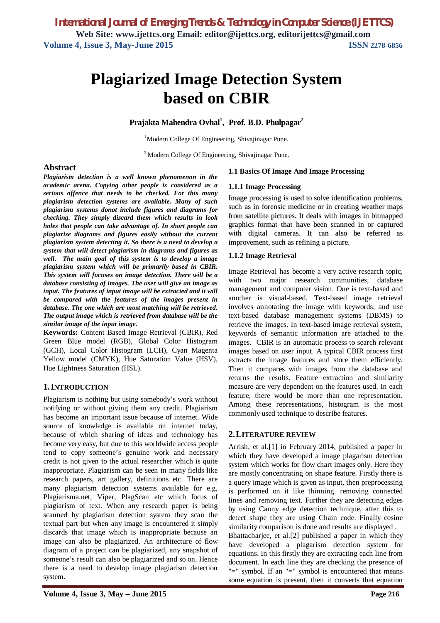# **Plagiarized Image Detection System based on CBIR**

**Prajakta Mahendra Ovhal<sup>1</sup> , Prof. B.D. Phulpagar<sup>2</sup>**

<sup>1</sup>Modern College Of Engineering, Shivajinagar Pune.

<sup>2</sup> Modern College Of Engineering, Shivajinagar Pune.

#### **Abstract**

*Plagiarism detection is a well known phenomenon in the academic arena. Copying other people is considered as a serious offence that needs to be checked. For this many plagiarism detection systems are available. Many of such plagiarism systems donot include figures and diagrams for checking. They simply discard them which results in look holes that people can take advantage of. In short people can plagiarize diagrams and figures easily without the current plagiarism system detecting it. So there is a need to develop a system that will detect plagiarism in diagrams and figures as well. The main goal of this system is to develop a image plagiarism system which will be primarily based in CBIR. This system will focuses on image detection. There will be a database consisting of images. The user will give an image as input. The features of input image will be extracted and it will be compared with the features of the images present in database. The one which are most matching will be retrieved. The output image which is retrieved from database will be the similar image of the input image.* 

**Keywords:** Content Based Image Retrieval (CBIR), Red Green Blue model (RGB), Global Color Histogram (GCH), Local Color Histogram (LCH), Cyan Magenta Yellow model (CMYK), Hue Saturation Value (HSV), Hue Lightness Saturation (HSL).

#### **1.INTRODUCTION**

Plagiarism is nothing but using somebody's work without notifying or without giving them any credit. Plagiarism has become an important issue because of internet. Wide source of knowledge is available on internet today, because of which sharing of ideas and technology has become very easy, but due to this worldwide access people tend to copy someone's genuine work and necessary credit is not given to the actual researcher which is quite inappropriate. Plagiarism can be seen in many fields like research papers, art gallery, definitions etc. There are many plagiarism detection systems available for e.g, Plagiarisma.net, Viper, PlagScan etc which focus of plagiarism of text. When any research paper is being scanned by plagiarism detection system they scan the textual part but when any image is encountered it simply discards that image which is inappropriate because an image can also be plagiarized. An architecture of flow diagram of a project can be plagiarized, any snapshot of someone's result can also be plagiarized and so on. Hence there is a need to develop image plagiarism detection system.

#### **1.1 Basics Of Image And Image Processing**

#### **1.1.1 Image Processing**

Image processing is used to solve identification problems, such as in forensic medicine or in creating weather maps from satellite pictures. It deals with images in bitmapped graphics format that have been scanned in or captured with digital cameras. It can also be referred as improvement, such as refining a picture.

#### **1.1.2 Image Retrieval**

Image Retrieval has become a very active research topic, with two major research communities, database management and computer vision. One is text-based and another is visual-based. Text-based image retrieval involves annotating the image with keywords, and use text-based database management systems (DBMS) to retrieve the images. In text-based image retrieval system, keywords of semantic information are attached to the images. CBIR is an automatic process to search relevant images based on user input. A typical CBIR process first extracts the image features and store them efficiently. Then it compares with images from the database and returns the results. Feature extraction and similarity measure are very dependent on the features used. In each feature, there would be more than one representation. Among these representations, histogram is the most commonly used technique to describe features.

#### **2.LITERATURE REVIEW**

Arrish, et al.[1] in February 2014, published a paper in which they have developed a image plagarism detection system which works for flow chart images only. Here they are mostly concentrating on shape feature. Firstly there is a query image which is given as input, then preprocessing is performed on it like thinning. removing connected lines and removing text. Further they are detecting edges by using Canny edge detection technique, after this to detect shape they are using Chain code. Finally cosine similarity comparison is done and results are displayed .

Bhattacharjee, et al.[2] published a paper in which they have developed a plagarism detection system for equations. In this firstly they are extracting each line from document. In each line they are checking the presence of "=" symbol. If an "=" symbol is encountered that means some equation is present, then it converts that equation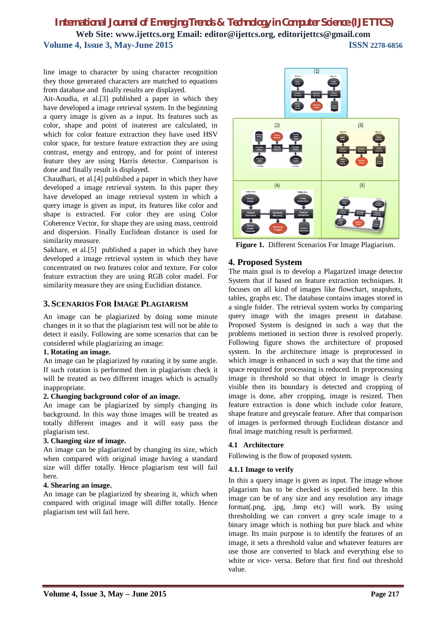line image to character by using character recognition they those generated characters are matched to equations from database and finally results are displayed.

Ait-Aoudia, et al.[3] published a paper in which they have developed a image retrieval system. In the beginning a query image is given as a input. Its features such as color, shape and point of inaterest are calculated, in which for color feature extraction they have used HSV color space, for texture feature extraction they are using contrast, energy and entropy, and for point of interest feature they are using Harris detector. Comparison is done and finally result is displayed.

Chaudhari, et al.[4] published a paper in which they have developed a image retrieval system. In this paper they have developed an image retrieval system in which a query image is given as input, its features like color and shape is extracted. For color they are using Color Coherence Vector, for shape they are using mass, centroid and dispersion. Finally Euclidean distance is used for similarity measure.

Sakhare, et al.[5] published a paper in which they have developed a image retrieval system in which they have concentrated on two features color and texture. For color feature extraction they are using RGB color madel. For similarity measure they are using Euclidian distance.

#### **3. SCENARIOS FOR IMAGE PLAGIARISM**

An image can be plagiarized by doing some minute changes in it so that the plagiarism test will not be able to detect it easily. Following are some scenarios that can be considered while plagiarizing an image:

#### **1. Rotating an image.**

An image can be plagiarized by rotating it by some angle. If such rotation is performed then in plagiarism check it will be treated as two different images which is actually inappropriate.

#### **2. Changing background color of an image.**

An image can be plagiarized by simply changing its background. In this way those images will be treated as totally different images and it will easy pass the plagiarism test.

#### **3. Changing size of image.**

An image can be plagiarized by changing its size, which when compared with original image having a standard size will differ totally. Hence plagiarism test will fail here.

#### **4. Shearing an image.**

An image can be plagiarized by shearing it, which when compared with original image will differ totally. Hence plagiarism test will fail here.



**Figure 1.** Different Scenarios For Image Plagiarism.

#### **4. Proposed System**

The main goal is to develop a Plagarized image detector System that if based on feature extraction techniques. It focuses on all kind of images like flowchart, snapshots, tables, graphs etc. The database contains images stored in a single folder. The retrieval system works by comparing query image with the images present in database. Proposed System is designed in such a way that the problems metioned in section three is resolved properly. Following figure shows the architecture of proposed system. In the architecture image is preprocessed in which image is enhanced in such a way that the time and space required for processing is reduced. In preprocessing image is threshold so that object in image is clearly visible then its boundary is detected and cropping of image is done, after cropping, image is resized. Then feature extraction is done which include color feature, shape feature and greyscale feature. After that comparison of images is performed through Euclidean distance and final image matching result is performed.

#### **4.1 Architecture**

Following is the flow of proposed system.

#### **4.1.1 Image to verify**

In this a query image is given as input. The image whose plagarism has to be checked is specified here. In this image can be of any size and any resolution any image format(.png, .jpg, .bmp etc) will work. By using thresholding we can convert a grey scale image to a binary image which is nothing but pure black and white image. Its main purpose is to identify the features of an image, it sets a threshold value and whatever features are use those are converted to black and everything else to white or vice- versa. Before that first find out threshold value.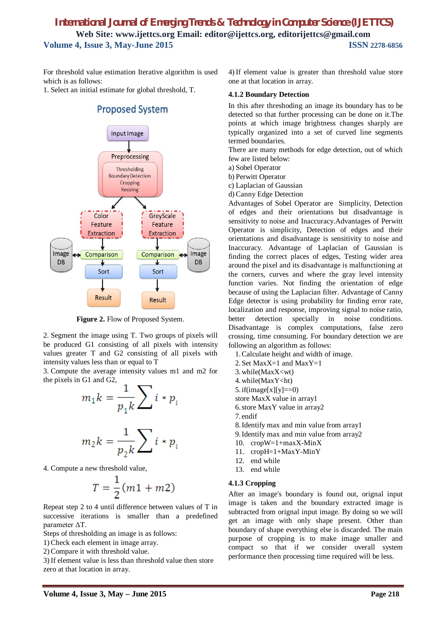For threshold value estimation Iterative algorithm is used which is as follows:

1. Select an initial estimate for global threshold, T.



## **Proposed System**

Figure 2. Flow of Proposed System.

2. Segment the image using T. Two groups of pixels will be produced G1 consisting of all pixels with intensity values greater T and G2 consisting of all pixels with intensity values less than or equal to T

3. Compute the average intensity values m1 and m2 for the pixels in G1 and G2,

$$
m_1 k = \frac{1}{p_1 k} \sum_i i * p_i
$$

$$
m_2 k = \frac{1}{p_2 k} \sum_i i * p_i
$$

4. Compute a new threshold value,

$$
T=\frac{1}{2}(m1+m2)
$$

Repeat step 2 to 4 until difference between values of T in successive iterations is smaller than a predefined parameter ΔT.

Steps of thresholding an image is as follows:

1) Check each element in image array.

2) Compare it with threshold value.

3) If element value is less than threshold value then store zero at that location in array.

4) If element value is greater than threshold value store one at that location in array.

#### **4.1.2 Boundary Detection**

In this after threshoding an image its boundary has to be detected so that further processing can be done on it.The points at which image brightness changes sharply are typically organized into a set of curved line segments termed boundaries.

There are many methods for edge detection, out of which few are listed below:

a) Sobel Operator

b) Perwitt Operator

c) Laplacian of Gaussian

d) Canny Edge Detection

Advantages of Sobel Operator are Simplicity, Detection of edges and their orientations but disadvantage is sensitivity to noise and Inaccuracy.Advantages of Perwitt Operator is simplicity, Detection of edges and their orientations and disadvantage is sensitivity to noise and Inaccuracy. Advantage of Laplacian of Gaussian is finding the correct places of edges, Testing wider area around the pixel and its disadvantage is malfunctioning at the corners, curves and where the gray level intensity function varies. Not finding the orientation of edge because of using the Laplacian filter. Advantage of Canny Edge detector is using probability for finding error rate, localization and response, improving signal to noise ratio, better detection specially in noise conditions. Disadvantage is complex computations, false zero crossing, time consuming. For boundary detection we are following an algorithm as follows:

1.Calculate height and width of image.

- 2.Set MaxX=1 and MaxY=1
- 3.while(MaxX<wt)

4.while(MaxY<ht)

5. if(image[x][y]==0)

store MaxX value in array1

6.store MaxY value in array2

7. endif

8.Identify max and min value from array1

9.Identify max and min value from array2

- 10. cropW=1+maxX-MinX
- 11. cropH=1+MaxY-MinY
- 12. end while
- 13. end while

#### **4.1.3 Cropping**

After an image's boundary is found out, orignal input image is taken and the boundary extracted image is subtracted from orignal input image. By doing so we will get an image with only shape present. Other than boundary of shape everything else is discarded. The main purpose of cropping is to make image smaller and compact so that if we consider overall system performance then processing time required will be less.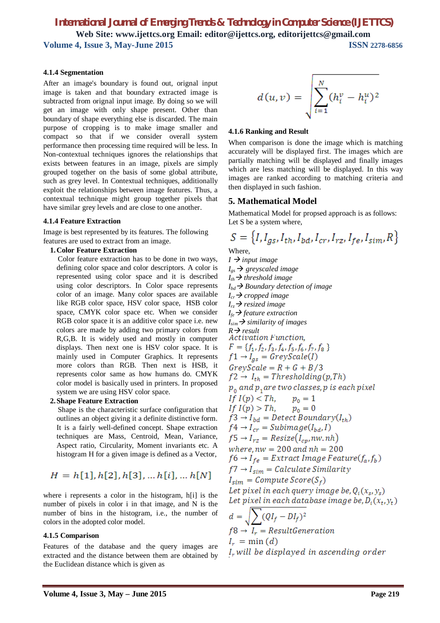#### **4.1.4 Segmentation**

After an image's boundary is found out, orignal input image is taken and that boundary extracted image is subtracted from orignal input image. By doing so we will get an image with only shape present. Other than boundary of shape everything else is discarded. The main purpose of cropping is to make image smaller and compact so that if we consider overall system performance then processing time required will be less. In Non-contextual techniques ignores the relationships that exists between features in an image, pixels are simply grouped together on the basis of some global attribute, such as grey level. In Contextual techniques, additionally exploit the relationships between image features. Thus, a contextual technique might group together pixels that have similar grey levels and are close to one another.

#### **4.1.4 Feature Extraction**

Image is best represented by its features. The following features are used to extract from an image.

#### **1.Color Feature Extraction**

 Color feature extraction has to be done in two ways, defining color space and color descriptors. A color is represented using color space and it is described using color descriptors. In Color space represents color of an image. Many color spaces are available like RGB color space, HSV color space, HSB color space, CMYK color space etc. When we consider RGB color space it is an additive color space i.e. new colors are made by adding two primary colors from R,G,B. It is widely used and mostly in computer displays. Then next one is HSV color space. It is mainly used in Computer Graphics. It represents more colors than RGB. Then next is HSB, it represents color same as how humans do. CMYK color model is basically used in printers. In proposed system we are using HSV color space.

#### **2.Shape Feature Extraction**

 Shape is the characteristic surface configuration that outlines an object giving it a definite distinctive form. It is a fairly well-defined concept. Shape extraction techniques are Mass, Centroid, Mean, Variance, Aspect ratio, Circularity, Moment invariants etc. A histogram H for a given image is defined as a Vector,

$$
H = h[1], h[2], h[3], \dots h[i], \dots h[N]
$$

where i represents a color in the histogram, h[i] is the number of pixels in color i in that image, and N is the number of bins in the histogram, i.e., the number of colors in the adopted color model.

#### **4.1.5 Comparison**

Features of the database and the query images are extracted and the distance between them are obtained by the Euclidean distance which is given as

$$
d(u,v) = \sqrt{\sum_{i=1}^N (h_i^v - h_i^u)^2}
$$

#### **4.1.6 Ranking and Result**

When comparison is done the image which is matching accurately will be displayed first. The images which are partially matching will be displayed and finally images which are less matching will be displayed. In this way images are ranked according to matching criteria and then displayed in such fashion.

#### **5. Mathematical Model**

Mathematical Model for propsed approach is as follows: Let S be a system where,

$$
S = \{I, I_{gs}, I_{th}, I_{bd}, I_{cr}, I_{rz}, I_{fe}, I_{sim}, R\}
$$
  
Where,

 $I \rightarrow input \ image$  $I_{gs} \rightarrow$  greyscaled image  $I_{th}$   $\rightarrow$  *threshold image*  $I_{bd}$   $\rightarrow$  *Boundary detection of image*  $I_{cr} \rightarrow$  *cropped image Irz resized image*  $I_{f_e} \rightarrow$  feature extraction  $I_{sim} \rightarrow$  *similarity of images R* → *result*<br>*Activation Function*,  $F = \{f_1, f_2, f_3, f_4, f_5, f_6, f_7, f_8\}$  $f1 \rightarrow I_{as} = GreyScale(I)$  $GreyScale = R + G + B/3$  $f2 \rightarrow I_{th} = Thresholding(p, Th)$  $p_0$  and  $p_1$  are two classes, p is each pixel If  $I(p) < Th$ ,  $p_0 = 1$ If  $I(p) > Th$ ,  $p_0 = 0$  $f3 \rightarrow I_{bd} =$  Detect Boundary $(I_{th})$  $f4 \rightarrow I_{cr} = Subimage(I_{bd}, I)$  $f5 \rightarrow I_{rz} = Resize(I_{cv}, nw, nh)$ where,  $nw = 200$  and  $nh = 200$  $f6 \rightarrow I_{fe} = Extract\ Image\ Feature(f_a, f_b)$  $f7 \rightarrow I_{sim} = Calculate Similarity$  $I_{sim} = Compute Score(S_f)$ Let pixel in each query image be,  $Q_i(x_s, y_s)$ Let pixel in each database image be,  $D_i(x_t, y_t)$  $\overline{\nabla}$ 

$$
d = \sqrt{\sum_{r} (QI_f - DI_f)^2}
$$
  
\n
$$
f8 \rightarrow I_r = ResultGeneration
$$
  
\n
$$
I_r = \min(d)
$$
  
\n
$$
I_r will be displayed in ascending order
$$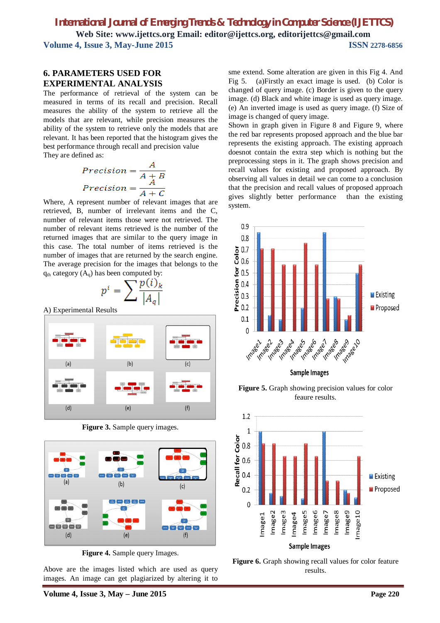#### **6. PARAMETERS USED FOR EXPERIMENTAL ANALYSIS**

The performance of retrieval of the system can be measured in terms of its recall and precision. Recall measures the ability of the system to retrieve all the models that are relevant, while precision measures the ability of the system to retrieve only the models that are relevant. It has been reported that the histogram gives the best performance through recall and precision value They are defined as:

$$
Precision = \frac{A}{A+B}
$$

$$
Precision = \frac{A}{A+C}
$$

Where, A represent number of relevant images that are retrieved, B, number of irrelevant items and the C, number of relevant items those were not retrieved. The number of relevant items retrieved is the number of the returned images that are similar to the query image in this case. The total number of items retrieved is the number of images that are returned by the search engine. The average precision for the images that belongs to the  $q<sub>th</sub> category (A<sub>q</sub>)$  has been computed by:

$$
p^i = \sum \frac{p(i)_k}{\left|A_q\right|}
$$

A) Experimental Results



**Figure 3.** Sample query images.



**Figure 4.** Sample query Images.

Above are the images listed which are used as query images. An image can get plagiarized by altering it to

sme extend. Some alteration are given in this Fig 4. And Fig 5. (a)Firstly an exact image is used. (b) Color is changed of query image. (c) Border is given to the query image. (d) Black and white image is used as query image. (e) An inverted image is used as query image. (f) Size of image is changed of query image.

Shown in graph given in Figure 8 and Figure 9, where the red bar represents proposed approach and the blue bar represents the existing approach. The existing approach doesnot contain the extra step which is nothing but the preprocessing steps in it. The graph shows precision and recall values for existing and proposed approach. By observing all values in detail we can come to a conclusion that the precision and recall values of proposed approach gives slightly better performance than the existing system.



**Figure 5.** Graph showing precision values for color feaure results.



Figure 6. Graph showing recall values for color feature results.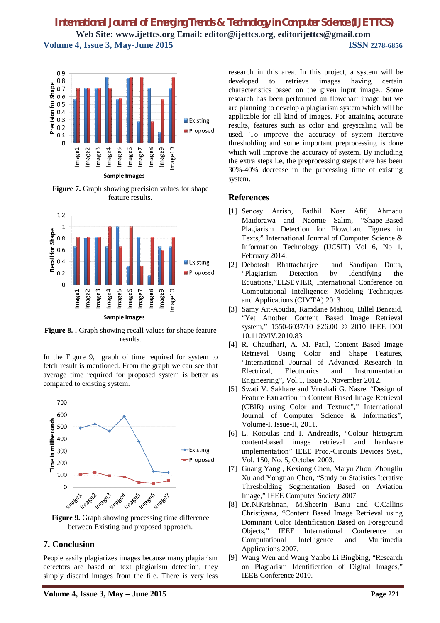

**Figure 7.** Graph showing precision values for shape feature results.



Figure 8. . Graph showing recall values for shape feature results.

In the Figure 9, graph of time required for system to fetch result is mentioned. From the graph we can see that average time required for proposed system is better as compared to existing system.



**Figure 9.** Graph showing processing time difference between Existing and proposed approach.

#### **7. Conclusion**

People easily plagiarizes images because many plagiarism detectors are based on text plagiarism detection, they simply discard images from the file. There is very less research in this area. In this project, a system will be developed to retrieve images having certain characteristics based on the given input image.. Some research has been performed on flowchart image but we are planning to develop a plagiarism system which will be applicable for all kind of images. For attaining accurate results, features such as color and greyscaling will be used. To improve the accuracy of system Iterative thresholding and some important preprocessing is done which will improve the accuracy of system. By including the extra steps i.e, the preprocessing steps there has been 30%-40% decrease in the processing time of existing system.

#### **References**

- [1] Senosy Arrish, Fadhil Noer Afif, Ahmadu Maidorawa and Naomie Salim, "Shape-Based Plagiarism Detection for Flowchart Figures in Texts," International Journal of Computer Science & Information Technology (IJCSIT) Vol 6, No 1, February 2014.
- [2] Debotosh Bhattacharjee and Sandipan Dutta, "Plagiarism Detection by Identifying the Equations,"ELSEVIER, International Conference on Computational Intelligence: Modeling Techniques and Applications (CIMTA) 2013
- [3] Samy Ait-Aoudia, Ramdane Mahiou, Billel Benzaid, "Yet Another Content Based Image Retrieval system," 1550-6037/10 \$26.00 © 2010 IEEE DOI 10.1109/IV.2010.83
- [4] R. Chaudhari, A. M. Patil, Content Based Image Retrieval Using Color and Shape Features, "International Journal of Advanced Research in Electrical, Electronics and Instrumentation Engineering", Vol.1, Issue 5, November 2012.
- [5] Swati V. Sakhare and Vrushali G. Nasre, "Design of Feature Extraction in Content Based Image Retrieval (CBIR) using Color and Texture"," International Journal of Computer Science & Informatics", Volume-I, Issue-II, 2011.
- [6] L. Kotoulas and I. Andreadis, "Colour histogram content-based image retrieval and hardware implementation" IEEE Proc.-Circuits Devices Syst., Vol. 150, No. 5, October 2003.
- [7] Guang Yang , Kexiong Chen, Maiyu Zhou, Zhonglin Xu and Yongtian Chen, "Study on Statistics Iterative Thresholding Segmentation Based on Aviation Image," IEEE Computer Society 2007.
- [8] Dr.N.Krishnan, M.Sheerin Banu and C.Callins Christiyana, "Content Based Image Retrieval using Dominant Color Identification Based on Foreground Objects," IEEE International Conference on Computational Intelligence and Multimedia Applications 2007.
- [9] Wang Wen and Wang Yanbo Li Bingbing, "Research on Plagiarism Identification of Digital Images," IEEE Conference 2010.